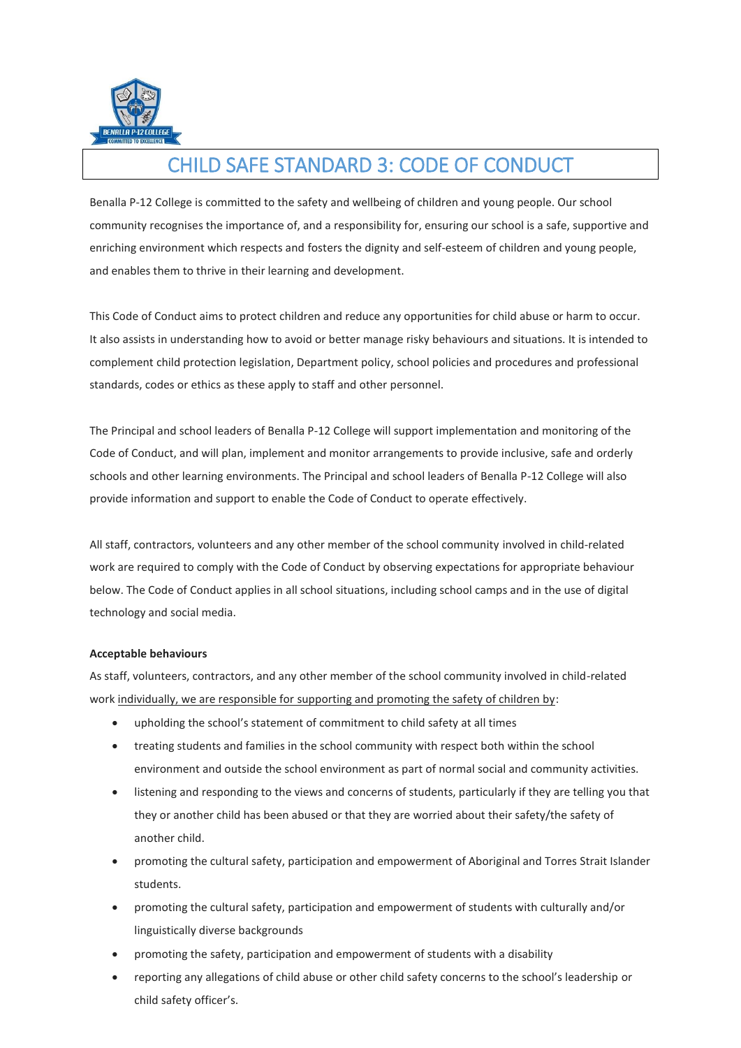

## CHILD SAFE STANDARD 3: CODE OF CONDUCT

Benalla P-12 College is committed to the safety and wellbeing of children and young people. Our school community recognises the importance of, and a responsibility for, ensuring our school is a safe, supportive and enriching environment which respects and fosters the dignity and self-esteem of children and young people, and enables them to thrive in their learning and development.

This Code of Conduct aims to protect children and reduce any opportunities for child abuse or harm to occur. It also assists in understanding how to avoid or better manage risky behaviours and situations. It is intended to complement child protection legislation, Department policy, school policies and procedures and professional standards, codes or ethics as these apply to staff and other personnel.

The Principal and school leaders of Benalla P-12 College will support implementation and monitoring of the Code of Conduct, and will plan, implement and monitor arrangements to provide inclusive, safe and orderly schools and other learning environments. The Principal and school leaders of Benalla P-12 College will also provide information and support to enable the Code of Conduct to operate effectively.

All staff, contractors, volunteers and any other member of the school community involved in child-related work are required to comply with the Code of Conduct by observing expectations for appropriate behaviour below. The Code of Conduct applies in all school situations, including school camps and in the use of digital technology and social media.

## **Acceptable behaviours**

As staff, volunteers, contractors, and any other member of the school community involved in child-related work individually, we are responsible for supporting and promoting the safety of children by:

- upholding the school's statement of commitment to child safety at all times
- treating students and families in the school community with respect both within the school environment and outside the school environment as part of normal social and community activities.
- listening and responding to the views and concerns of students, particularly if they are telling you that they or another child has been abused or that they are worried about their safety/the safety of another child.
- promoting the cultural safety, participation and empowerment of Aboriginal and Torres Strait Islander students.
- promoting the cultural safety, participation and empowerment of students with culturally and/or linguistically diverse backgrounds
- promoting the safety, participation and empowerment of students with a disability
- reporting any allegations of child abuse or other child safety concerns to the school's leadership or child safety officer's.